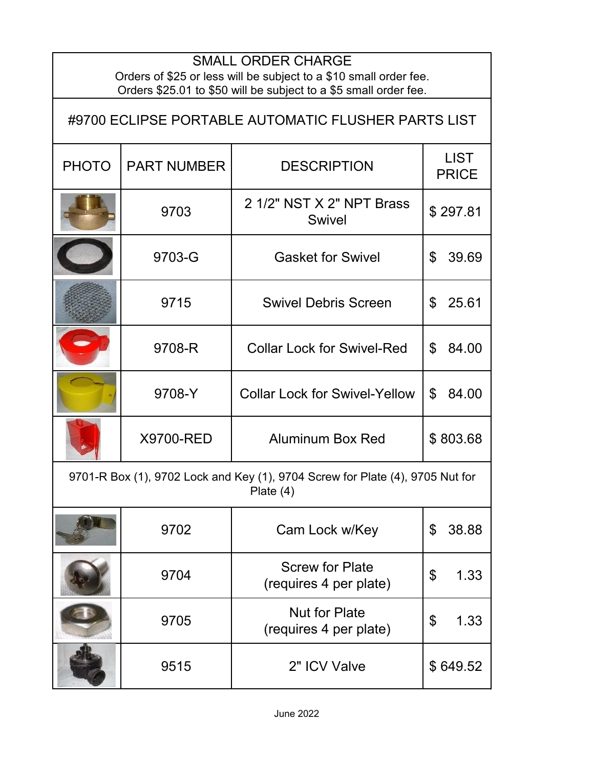| <b>SMALL ORDER CHARGE</b><br>Orders of \$25 or less will be subject to a \$10 small order fee.<br>Orders \$25.01 to \$50 will be subject to a \$5 small order fee. |                    |                                                  |                             |
|--------------------------------------------------------------------------------------------------------------------------------------------------------------------|--------------------|--------------------------------------------------|-----------------------------|
| #9700 ECLIPSE PORTABLE AUTOMATIC FLUSHER PARTS LIST                                                                                                                |                    |                                                  |                             |
| <b>PHOTO</b>                                                                                                                                                       | <b>PART NUMBER</b> | <b>DESCRIPTION</b>                               | <b>LIST</b><br><b>PRICE</b> |
|                                                                                                                                                                    | 9703               | 2 1/2" NST X 2" NPT Brass<br><b>Swivel</b>       | \$297.81                    |
|                                                                                                                                                                    | 9703-G             | <b>Gasket for Swivel</b>                         | $\mathfrak{L}$<br>39.69     |
|                                                                                                                                                                    | 9715               | <b>Swivel Debris Screen</b>                      | \$<br>25.61                 |
|                                                                                                                                                                    | 9708-R             | <b>Collar Lock for Swivel-Red</b>                | $\mathfrak{L}$<br>84.00     |
|                                                                                                                                                                    | 9708-Y             | <b>Collar Lock for Swivel-Yellow</b>             | $\mathfrak{L}$<br>84.00     |
|                                                                                                                                                                    | X9700-RED          | <b>Aluminum Box Red</b>                          | \$803.68                    |
| 9701-R Box (1), 9702 Lock and Key (1), 9704 Screw for Plate (4), 9705 Nut for<br>Plate $(4)$                                                                       |                    |                                                  |                             |
|                                                                                                                                                                    | 9702               | Cam Lock w/Key                                   | \$<br>38.88                 |
|                                                                                                                                                                    | 9704               | <b>Screw for Plate</b><br>(requires 4 per plate) | 1.33<br>\$                  |
|                                                                                                                                                                    | 9705               | <b>Nut for Plate</b><br>(requires 4 per plate)   | 1.33<br>\$                  |
|                                                                                                                                                                    | 9515               | 2" ICV Valve                                     | \$649.52                    |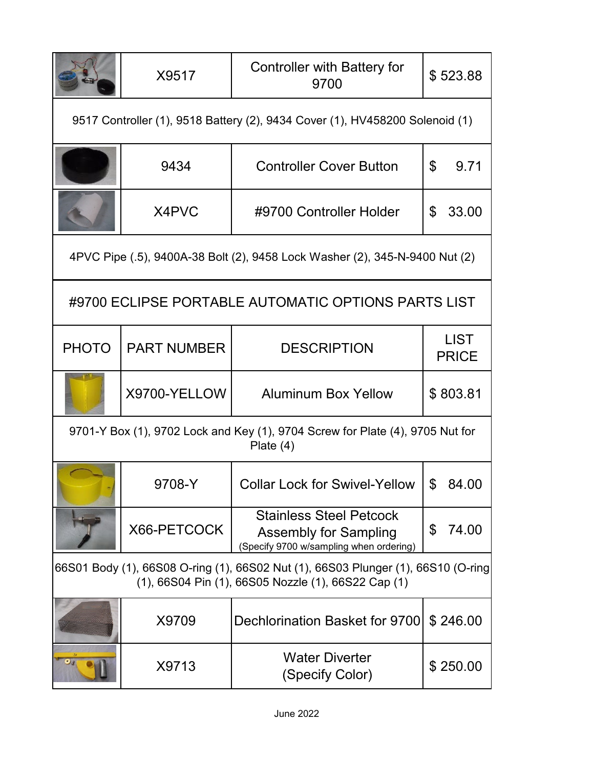|                                                                                                                                          | X9517              | <b>Controller with Battery for</b><br>9700                                                                | \$523.88                    |
|------------------------------------------------------------------------------------------------------------------------------------------|--------------------|-----------------------------------------------------------------------------------------------------------|-----------------------------|
| 9517 Controller (1), 9518 Battery (2), 9434 Cover (1), HV458200 Solenoid (1)                                                             |                    |                                                                                                           |                             |
|                                                                                                                                          | 9434               | <b>Controller Cover Button</b>                                                                            | \$<br>9.71                  |
|                                                                                                                                          | X4PVC              | #9700 Controller Holder                                                                                   | 33.00<br>\$                 |
| 4PVC Pipe (.5), 9400A-38 Bolt (2), 9458 Lock Washer (2), 345-N-9400 Nut (2)                                                              |                    |                                                                                                           |                             |
|                                                                                                                                          |                    | #9700 ECLIPSE PORTABLE AUTOMATIC OPTIONS PARTS LIST                                                       |                             |
| <b>PHOTO</b>                                                                                                                             | <b>PART NUMBER</b> | <b>DESCRIPTION</b>                                                                                        | <b>LIST</b><br><b>PRICE</b> |
|                                                                                                                                          | X9700-YELLOW       | <b>Aluminum Box Yellow</b>                                                                                | \$803.81                    |
| 9701-Y Box (1), 9702 Lock and Key (1), 9704 Screw for Plate (4), 9705 Nut for<br>Plate $(4)$                                             |                    |                                                                                                           |                             |
|                                                                                                                                          | 9708-Y             | <b>Collar Lock for Swivel-Yellow</b>                                                                      | \$<br>84.00                 |
|                                                                                                                                          | X66-PETCOCK        | <b>Stainless Steel Petcock</b><br><b>Assembly for Sampling</b><br>(Specify 9700 w/sampling when ordering) | 74.00<br>\$                 |
| 66S01 Body (1), 66S08 O-ring (1), 66S02 Nut (1), 66S03 Plunger (1), 66S10 (O-ring<br>(1), 66S04 Pin (1), 66S05 Nozzle (1), 66S22 Cap (1) |                    |                                                                                                           |                             |
|                                                                                                                                          | X9709              | Dechlorination Basket for 9700                                                                            | \$246.00                    |
|                                                                                                                                          | X9713              | <b>Water Diverter</b><br>(Specify Color)                                                                  | \$250.00                    |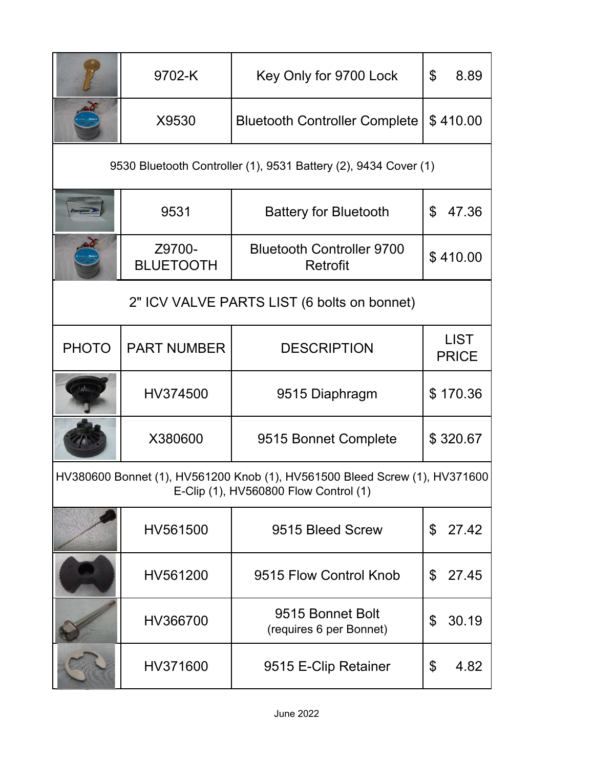|                                                                                                                     | 9702-K                                                          | Key Only for 9700 Lock                       | \$<br>8.89                  |  |
|---------------------------------------------------------------------------------------------------------------------|-----------------------------------------------------------------|----------------------------------------------|-----------------------------|--|
|                                                                                                                     | X9530                                                           | <b>Bluetooth Controller Complete</b>         | \$410.00                    |  |
|                                                                                                                     | 9530 Bluetooth Controller (1), 9531 Battery (2), 9434 Cover (1) |                                              |                             |  |
|                                                                                                                     | 9531                                                            | <b>Battery for Bluetooth</b>                 | \$<br>47.36                 |  |
|                                                                                                                     | Z9700-<br><b>BLUETOOTH</b>                                      | <b>Bluetooth Controller 9700</b><br>Retrofit | \$410.00                    |  |
| 2" ICV VALVE PARTS LIST (6 bolts on bonnet)                                                                         |                                                                 |                                              |                             |  |
| <b>PHOTO</b>                                                                                                        | <b>PART NUMBER</b>                                              | <b>DESCRIPTION</b>                           | <b>LIST</b><br><b>PRICE</b> |  |
|                                                                                                                     | HV374500                                                        | 9515 Diaphragm                               | \$170.36                    |  |
|                                                                                                                     | X380600                                                         | 9515 Bonnet Complete                         | \$320.67                    |  |
| HV380600 Bonnet (1), HV561200 Knob (1), HV561500 Bleed Screw (1), HV371600<br>E-Clip (1), HV560800 Flow Control (1) |                                                                 |                                              |                             |  |
|                                                                                                                     | HV561500                                                        | 9515 Bleed Screw                             | 27.42<br>$\mathfrak{L}$     |  |
|                                                                                                                     | HV561200                                                        | 9515 Flow Control Knob                       | \$<br>27.45                 |  |
|                                                                                                                     | HV366700                                                        | 9515 Bonnet Bolt<br>(requires 6 per Bonnet)  | 30.19<br>\$                 |  |
|                                                                                                                     | HV371600                                                        | 9515 E-Clip Retainer                         | \$<br>4.82                  |  |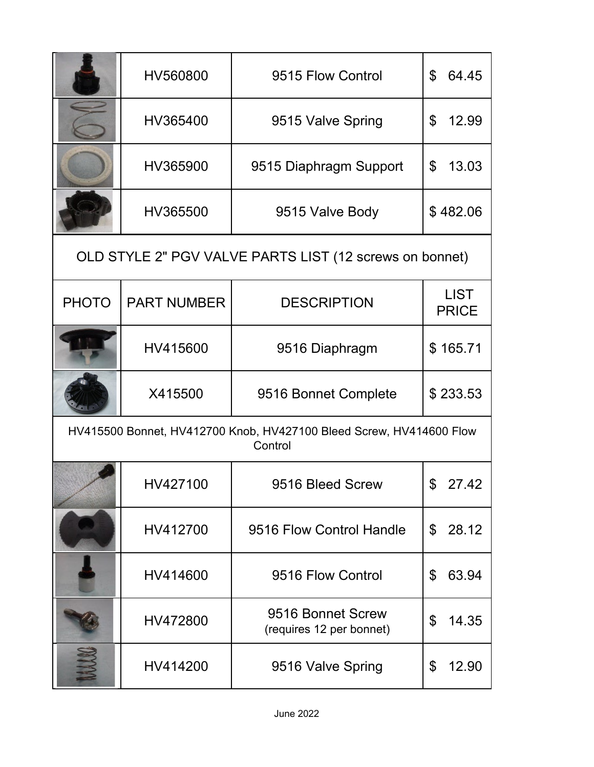|                                                                                | HV560800                                                | 9515 Flow Control                             | \$<br>64.45                 |  |
|--------------------------------------------------------------------------------|---------------------------------------------------------|-----------------------------------------------|-----------------------------|--|
|                                                                                | HV365400                                                | 9515 Valve Spring                             | \$<br>12.99                 |  |
|                                                                                | HV365900                                                | 9515 Diaphragm Support                        | \$<br>13.03                 |  |
|                                                                                | HV365500                                                | 9515 Valve Body                               | \$482.06                    |  |
|                                                                                | OLD STYLE 2" PGV VALVE PARTS LIST (12 screws on bonnet) |                                               |                             |  |
| <b>PHOTO</b>                                                                   | <b>PART NUMBER</b>                                      | <b>DESCRIPTION</b>                            | <b>LIST</b><br><b>PRICE</b> |  |
|                                                                                | HV415600                                                | 9516 Diaphragm                                | \$165.71                    |  |
|                                                                                | X415500                                                 | 9516 Bonnet Complete                          | \$233.53                    |  |
| HV415500 Bonnet, HV412700 Knob, HV427100 Bleed Screw, HV414600 Flow<br>Control |                                                         |                                               |                             |  |
|                                                                                | HV427100                                                | 9516 Bleed Screw                              | 27.42                       |  |
|                                                                                | HV412700                                                | 9516 Flow Control Handle                      | 28.12<br>\$                 |  |
|                                                                                | HV414600                                                | 9516 Flow Control                             | 63.94<br>\$                 |  |
|                                                                                | HV472800                                                | 9516 Bonnet Screw<br>(requires 12 per bonnet) | \$<br>14.35                 |  |
|                                                                                | HV414200                                                | 9516 Valve Spring                             | \$<br>12.90                 |  |